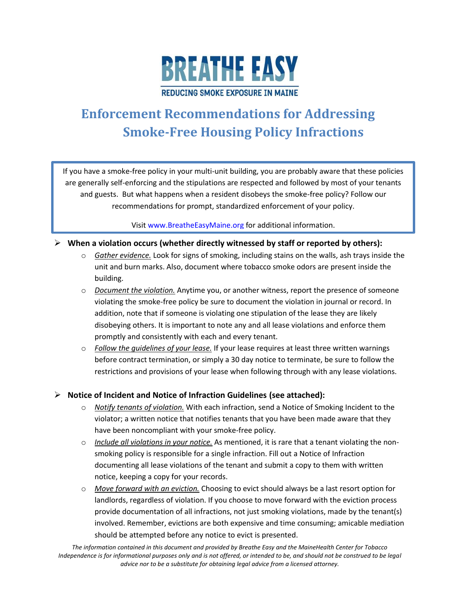

# **Enforcement Recommendations for Addressing Smoke-Free Housing Policy Infractions**

If you have a smoke-free policy in your multi-unit building, you are probably aware that these policies are generally self-enforcing and the stipulations are respected and followed by most of your tenants and guests. But what happens when a resident disobeys the smoke-free policy? Follow our recommendations for prompt, standardized enforcement of your policy.

Visit [www.BreatheEasyMaine.org](http://www.breatheeasymaine.org/) for additional information.

### **When a violation occurs (whether directly witnessed by staff or reported by others):**

- o *Gather evidence.* Look for signs of smoking, including stains on the walls, ash trays inside the unit and burn marks. Also, document where tobacco smoke odors are present inside the building.
- o *Document the violation.* Anytime you, or another witness, report the presence of someone violating the smoke-free policy be sure to document the violation in journal or record. In addition, note that if someone is violating one stipulation of the lease they are likely disobeying others. It is important to note any and all lease violations and enforce them promptly and consistently with each and every tenant.
- o *Follow the guidelines of your lease.* If your lease requires at least three written warnings before contract termination, or simply a 30 day notice to terminate, be sure to follow the restrictions and provisions of your lease when following through with any lease violations.

### **Notice of Incident and Notice of Infraction Guidelines (see attached):**

- o *Notify tenants of violation.* With each infraction, send a Notice of Smoking Incident to the violator; a written notice that notifies tenants that you have been made aware that they have been noncompliant with your smoke-free policy.
- o *Include all violations in your notice.* As mentioned, it is rare that a tenant violating the nonsmoking policy is responsible for a single infraction. Fill out a Notice of Infraction documenting all lease violations of the tenant and submit a copy to them with written notice, keeping a copy for your records.
- o *Move forward with an eviction.* Choosing to evict should always be a last resort option for landlords, regardless of violation. If you choose to move forward with the eviction process provide documentation of all infractions, not just smoking violations, made by the tenant(s) involved. Remember, evictions are both expensive and time consuming; amicable mediation should be attempted before any notice to evict is presented.

*The information contained in this document and provided by Breathe Easy and the MaineHealth Center for Tobacco Independence is for informational purposes only and is not offered, or intended to be, and should not be construed to be legal advice nor to be a substitute for obtaining legal advice from a licensed attorney.*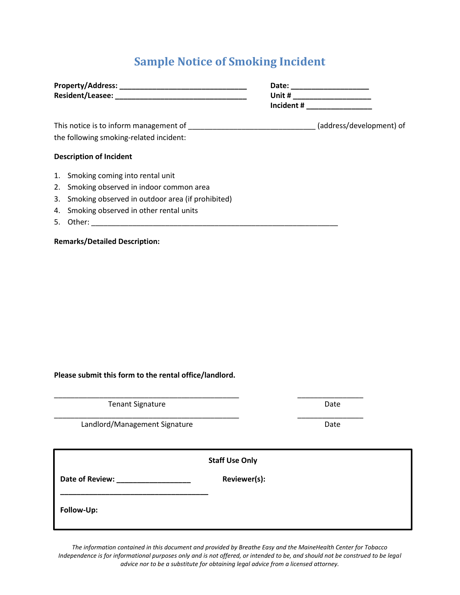# **Sample Notice of Smoking Incident**

|    |                                                     | Date:      |                          |
|----|-----------------------------------------------------|------------|--------------------------|
|    |                                                     | Unit $\#$  |                          |
|    |                                                     | Incident # |                          |
|    |                                                     |            | (address/development) of |
|    | the following smoking-related incident:             |            |                          |
|    | <b>Description of Incident</b>                      |            |                          |
|    | 1. Smoking coming into rental unit                  |            |                          |
|    | 2. Smoking observed in indoor common area           |            |                          |
|    | 3. Smoking observed in outdoor area (if prohibited) |            |                          |
| 4. | Smoking observed in other rental units              |            |                          |
| 5. | Other:                                              |            |                          |

**Remarks/Detailed Description:**

**Please submit this form to the rental office/landlord.**

Tenant Signature Date Date

Landlord/Management Signature data and the Date

**\_\_\_\_\_\_\_\_\_\_\_\_\_\_\_\_\_\_\_\_\_\_\_\_\_\_\_\_\_\_\_\_\_\_\_\_**

**Staff Use Only**

\_\_\_\_\_\_\_\_\_\_\_\_\_\_\_\_\_\_\_\_\_\_\_\_\_\_\_\_\_\_\_\_\_\_\_\_\_\_\_\_\_\_\_\_\_ \_\_\_\_\_\_\_\_\_\_\_\_\_\_\_\_

**Date of Review: \_\_\_\_\_\_\_\_\_\_\_\_\_\_\_\_\_\_ Reviewer(s):** 

**Follow-Up:**

*The information contained in this document and provided by Breathe Easy and the MaineHealth Center for Tobacco Independence is for informational purposes only and is not offered, or intended to be, and should not be construed to be legal advice nor to be a substitute for obtaining legal advice from a licensed attorney.*

\_\_\_\_\_\_\_\_\_\_\_\_\_\_\_\_\_\_\_\_\_\_\_\_\_\_\_\_\_\_\_\_\_\_\_\_\_\_\_\_\_\_\_\_\_ \_\_\_\_\_\_\_\_\_\_\_\_\_\_\_\_